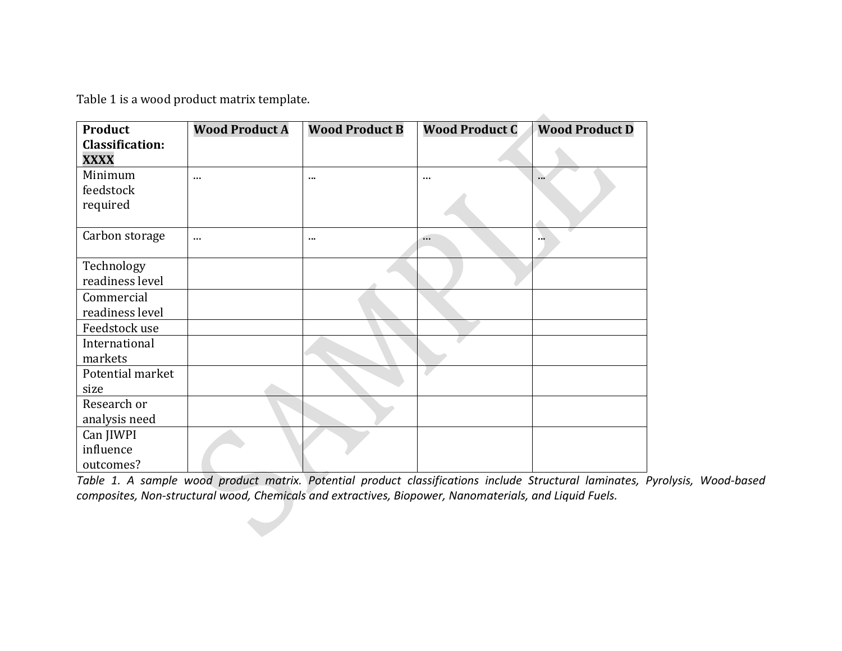[Table 1](#page-0-0) is a wood product matrix template.

| <b>Product</b>         | <b>Wood Product A</b> | <b>Wood Product B</b> | <b>Wood Product C</b> | <b>Wood Product D</b> |
|------------------------|-----------------------|-----------------------|-----------------------|-----------------------|
| <b>Classification:</b> |                       |                       |                       |                       |
| <b>XXXX</b>            |                       |                       |                       |                       |
| Minimum                | $\cdots$              | $\cdots$              |                       | $\cdots$              |
| feedstock              |                       |                       |                       |                       |
| required               |                       |                       |                       |                       |
|                        |                       |                       |                       |                       |
| Carbon storage         | $\cdots$              | $\cdots$              | $\cdots$              | <b>113</b>            |
|                        |                       |                       |                       |                       |
| Technology             |                       |                       |                       |                       |
| readiness level        |                       |                       |                       |                       |
| Commercial             |                       |                       |                       |                       |
| readiness level        |                       |                       |                       |                       |
| Feedstock use          |                       |                       |                       |                       |
| International          |                       |                       |                       |                       |
| markets                |                       |                       |                       |                       |
| Potential market       |                       |                       |                       |                       |
| size                   |                       |                       |                       |                       |
| Research or            |                       |                       |                       |                       |
| analysis need          |                       |                       |                       |                       |
| Can JIWPI              |                       |                       |                       |                       |
| influence              |                       |                       |                       |                       |
| outcomes?              |                       |                       |                       |                       |

<span id="page-0-0"></span>*Table 1. A sample wood product matrix. Potential product classifications include Structural laminates, Pyrolysis, Wood-based composites, Non-structural wood, Chemicals and extractives, Biopower, Nanomaterials, and Liquid Fuels.*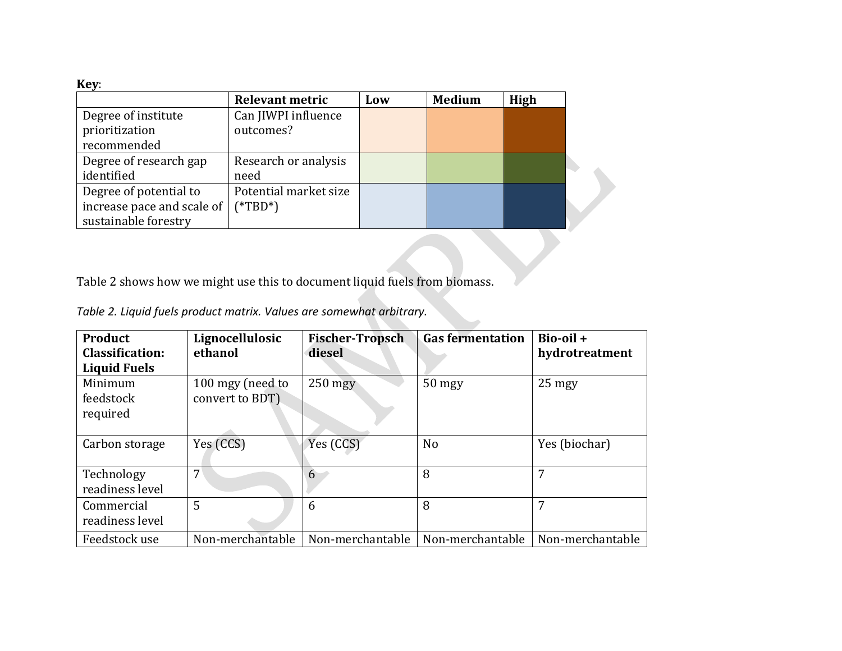**Key**:

|                            | <b>Relevant metric</b> | Low | <b>Medium</b> | High |
|----------------------------|------------------------|-----|---------------|------|
| Degree of institute        | Can JIWPI influence    |     |               |      |
| prioritization             | outcomes?              |     |               |      |
| recommended                |                        |     |               |      |
| Degree of research gap     | Research or analysis   |     |               |      |
| identified                 | need                   |     |               |      |
| Degree of potential to     | Potential market size  |     |               |      |
| increase pace and scale of | $(*TBD*)$              |     |               |      |
| sustainable forestry       |                        |     |               |      |

Table 2 shows how we might use this to document liquid fuels from biomass.

| Table 2. Liquid fuels product matrix. Values are somewhat arbitrary. |  |
|----------------------------------------------------------------------|--|
|----------------------------------------------------------------------|--|

| Product<br><b>Classification:</b><br><b>Liquid Fuels</b> | Lignocellulosic<br>ethanol          | <b>Fischer-Tropsch</b><br>diesel | <b>Gas fermentation</b> | $Bio-oil +$<br>hydrotreatment |
|----------------------------------------------------------|-------------------------------------|----------------------------------|-------------------------|-------------------------------|
| Minimum<br>feedstock<br>required                         | 100 mgy (need to<br>convert to BDT) | $250$ mgy                        | 50 mgy                  | $25$ mgy                      |
| Carbon storage                                           | Yes (CCS)                           | Yes (CCS)                        | N <sub>0</sub>          | Yes (biochar)                 |
| Technology<br>readiness level                            | 7                                   | 6                                | 8                       | 7                             |
| Commercial<br>readiness level                            | 5                                   | 6                                | 8                       | 7                             |
| Feedstock use                                            | Non-merchantable                    | Non-merchantable                 | Non-merchantable        | Non-merchantable              |